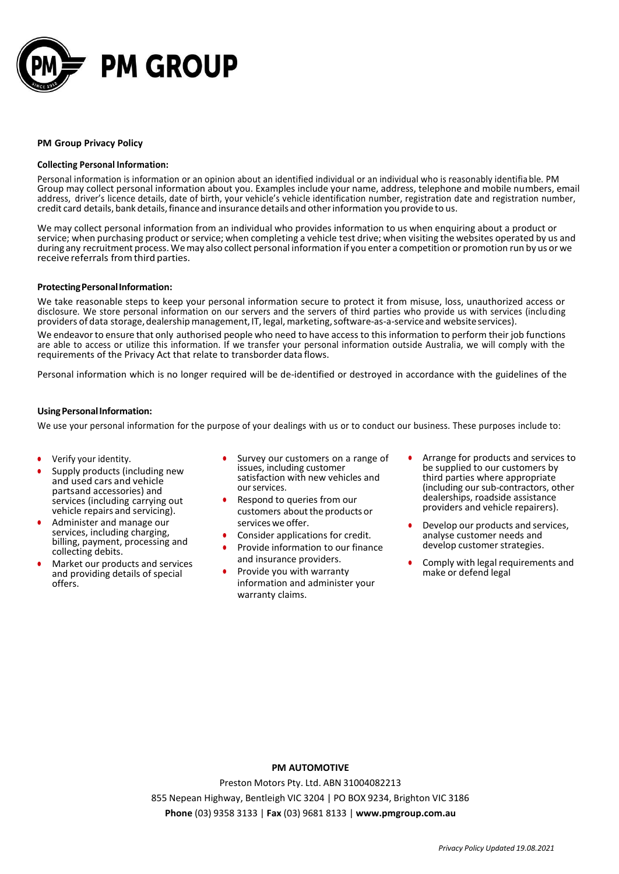

## **PM Group Privacy Policy**

#### **Collecting Personal Information:**

Personal information is information or an opinion about an identified individual or an individual who is reasonably identifiable. PM Group may collect personal information about you. Examples include your name, address, telephone and mobile numbers, email address, driver's licence details, date of birth, your vehicle's vehicle identification number, registration date and registration number, credit card details, bank details, finance and insurance details and other information you provide to us.

We may collect personal information from an individual who provides information to us when enquiring about a product or service; when purchasing product or service; when completing a vehicle test drive; when visiting the websites operated by us and during any recruitment process. Wemay also collect personal information if you enter a competition or promotion run by us or we receive referrals fromthird parties.

#### **ProtectingPersonalInformation:**

We take reasonable steps to keep your personal information secure to protect it from misuse, loss, unauthorized access or disclosure. We store personal information on our servers and the servers of third parties who provide us with services (inclu ding providers of data storage, dealership management, IT, legal, marketing, software-as-a-service and website services).

We endeavor to ensure that only authorised people who need to have access to this information to perform their job functions are able to access or utilize this information. If we transfer your personal information outside Australia, we will comply with the requirements of the Privacy Act that relate to transborder data flows.

Personal information which is no longer required will be de-identified or destroyed in accordance with the guidelines of the

#### **UsingPersonalInformation:**

We use your personal information for the purpose of your dealings with us or to conduct our business. These purposes include to:

- **•** Verify your identity.
- **•** Supply products (including new and used cars and vehicle partsand accessories) and services (including carrying out vehicle repairs and servicing).
- **•** Administer and manage our services, including charging, billing, payment, processing and collecting debits.
- **•** Market our products and services and providing details of special offers.
- **•** Survey our customers on a range of issues, including customer satisfaction with new vehicles and ourservices.
- **•** Respond to queries from our customers about the products or services we offer.
- **•** Consider applications for credit.
- **•** Provide information to our finance and insurance providers.
- **•** Provide you with warranty information and administer your warranty claims.
- **•** Arrange for products and services to be supplied to our customers by third parties where appropriate (including our sub-contractors, other dealerships, roadside assistance providers and vehicle repairers).
- **•** Develop our products and services, analyse customer needs and develop customer strategies.
- **•** Comply with legal requirements and make or defend legal

# **PM AUTOMOTIVE**

Preston Motors Pty. Ltd. ABN 31004082213 855 Nepean Highway, Bentleigh VIC 3204 | PO BOX 9234, Brighton VIC 3186 **Phone** (03) 9358 3133 | **Fax** (03) 9681 8133 | **[www.pmgroup.com.au](http://www.pmgroup.com.au/)**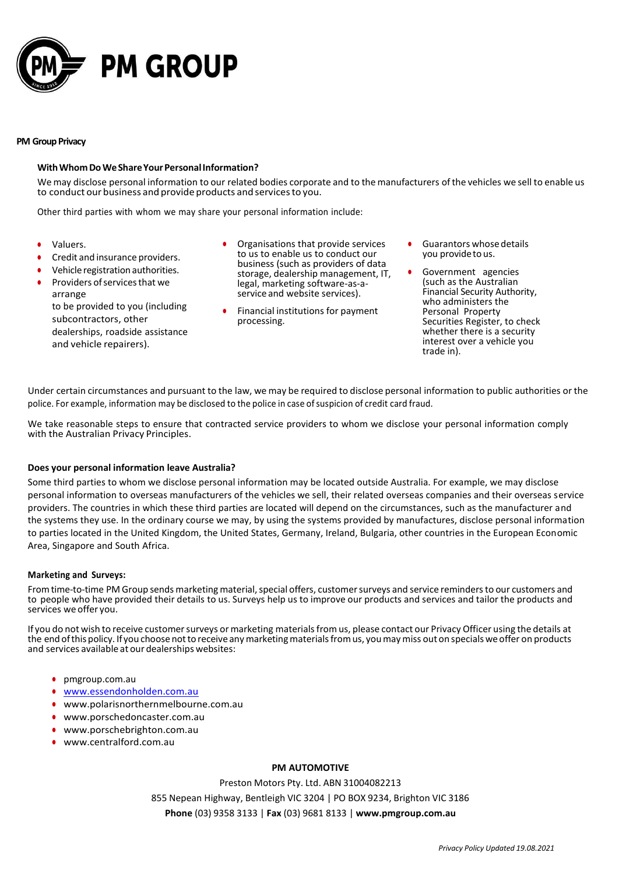

## **PM Group Privacy**

## **WithWhomDoWeShareYourPersonalInformation?**

We may disclose personal information to our related bodies corporate and to the manufacturers ofthe vehicles we sell to enable us to conduct our business and provide products and servicesto you.

Other third parties with whom we may share your personal information include:

- **•** Valuers.
- **•** Credit and insurance providers.
- **•** Vehicle registration authorities.
- Providers of services that we

arrange to be provided to you (including subcontractors, other dealerships, roadside assistance and vehicle repairers).

- **•** Organisations that provide services to us to enable us to conduct our business (such as providers of data storage, dealership management, IT, legal, marketing software-as-aservice and website services).
- **•** Financial institutions for payment processing.
- **•** Guarantors whosedetails you provideto us.
- **•** Government agencies (such as the Australian Financial Security Authority, who administers the Personal Property Securities Register, to check whether there is a security interest over a vehicle you trade in).

Under certain circumstances and pursuant to the law, we may be required to disclose personal information to public authorities or the police. For example, information may be disclosed to the police in case ofsuspicion of credit card fraud.

We take reasonable steps to ensure that contracted service providers to whom we disclose your personal information comply with the Australian Privacy Principles.

## **Does your personal information leave Australia?**

Some third parties to whom we disclose personal information may be located outside Australia. For example, we may disclose personal information to overseas manufacturers of the vehicles we sell, their related overseas companies and their overseas service providers. The countries in which these third parties are located will depend on the circumstances, such as the manufacturer and the systems they use. In the ordinary course we may, by using the systems provided by manufactures, disclose personal information to parties located in the United Kingdom, the United States, Germany, Ireland, Bulgaria, other countries in the European Economic Area, Singapore and South Africa.

## **Marketing and Surveys:**

From time-to-time PM Group sends marketing material, special offers, customer surveys and service reminders to our customers and to people who have provided their details to us. Surveys help us to improve our products and services and tailor the products and services we offer you.

If you do not wish to receive customer surveys or marketing materials from us, please contact our Privacy Officer using the details at the end of this policy. If you choose not to receive any marketing materials from us, you may miss out on specials we offer on products and services available at our dealerships websites:

- **•** pmgroup.com.au
- **•** [www.essendonholden.com.au](http://www.essendonholden.com.au/)
- **•** [www.polarisnorthernmelbourne.com.au](http://www.polarisnorthernmelbourne.com.au/)
- **•** [www.porschedoncaster.com.au](http://www.porschedoncaster.com.au/)
- **•** [www.porschebrighton.com.au](http://www.porschebrighton.com.au/)
- **•** [www.centralford.com.au](http://www.centralford.com.au/)

## **PM AUTOMOTIVE**

Preston Motors Pty. Ltd. ABN 31004082213 855 Nepean Highway, Bentleigh VIC 3204 | PO BOX 9234, Brighton VIC 3186 **Phone** (03) 9358 3133 | **Fax** (03) 9681 8133 | **[www.pmgroup.com.au](http://www.pmgroup.com.au/)**